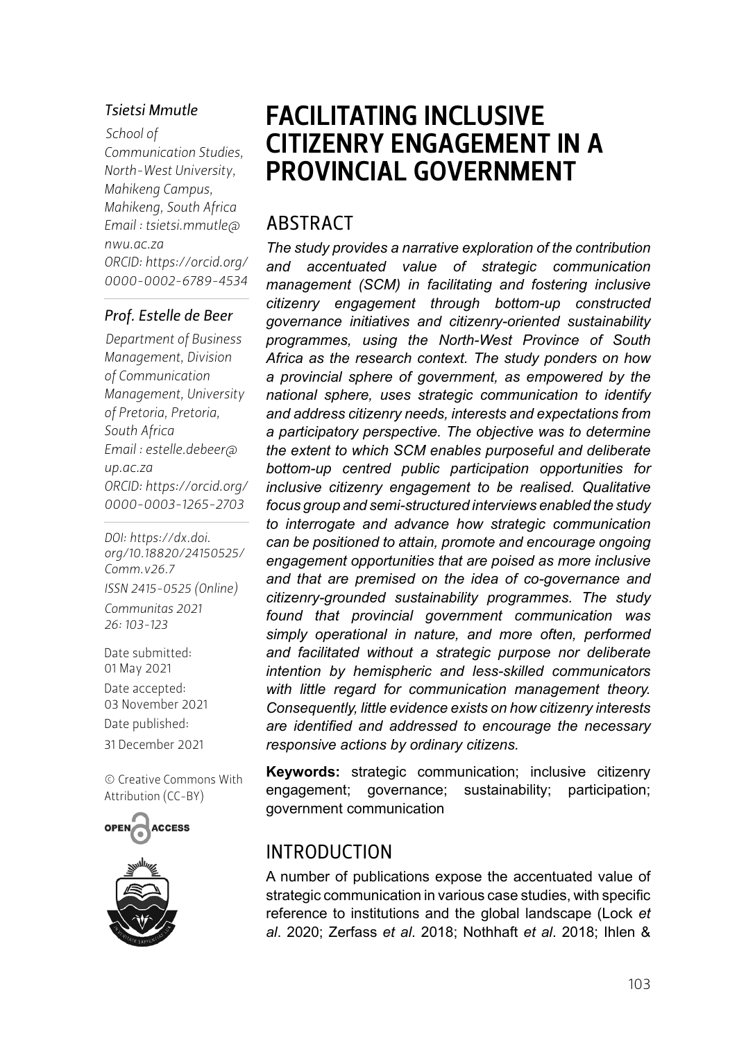#### *Tsietsi Mmutle*

*School of Communication Studies, North-West University, Mahikeng Campus, Mahikeng, South Africa Email : [tsietsi.mmutle@](mailto:tsietsi.mmutle@nwu.ac.za) [nwu.ac.za](mailto:tsietsi.mmutle@nwu.ac.za) ORCID: [https://orcid.org/](https://orcid.org/0000-0002-6789-4534) [0000-0002-6789-4534](https://orcid.org/0000-0002-6789-4534)*

#### *Prof. Estelle de Beer*

*Department of Business Management, Division of Communication Management, University of Pretoria, Pretoria, South Africa Email : [estelle.debeer@](mailto:estelle.debeer@up.ac.za) [up.ac.za](mailto:estelle.debeer@up.ac.za) ORCID: [https://orcid.org/](https://orcid.org/0000-0003-1265-2703) [0000-0003-1265-2703](https://orcid.org/0000-0003-1265-2703)*

*DOI: [https://dx.doi.](https://dx.doi.org/10.18820/24150525/Comm.v26.7) [org/10.18820/24150525/](https://dx.doi.org/10.18820/24150525/Comm.v26.7) [Comm.v](https://dx.doi.org/10.18820/24150525/Comm.v26.7)26.7 ISSN 2415-0525 (Online) Communitas 2021 26: 103-123*

Date submitted: 01 May 2021 Date accepted: 03 November 2021 Date published: 31 December 2021

[© Creative Commons With](https://creativecommons.org/licenses/by/2.0/za/)  [Attribution \(CC-BY\)](https://creativecommons.org/licenses/by/2.0/za/)





# FACILITATING INCLUSIVE CITIZENRY ENGAGEMENT IN A PROVINCIAL GOVERNMENT

# ABSTRACT

*The study provides a narrative exploration of the contribution and accentuated value of strategic communication management (SCM) in facilitating and fostering inclusive citizenry engagement through bottom-up constructed governance initiatives and citizenry-oriented sustainability programmes, using the North-West Province of South Africa as the research context. The study ponders on how a provincial sphere of government, as empowered by the national sphere, uses strategic communication to identify and address citizenry needs, interests and expectations from a participatory perspective. The objective was to determine the extent to which SCM enables purposeful and deliberate bottom-up centred public participation opportunities for inclusive citizenry engagement to be realised. Qualitative focus group and semi-structured interviews enabled the study to interrogate and advance how strategic communication can be positioned to attain, promote and encourage ongoing engagement opportunities that are poised as more inclusive and that are premised on the idea of co-governance and citizenry-grounded sustainability programmes. The study found that provincial government communication was simply operational in nature, and more often, performed and facilitated without a strategic purpose nor deliberate intention by hemispheric and less-skilled communicators with little regard for communication management theory. Consequently, little evidence exists on how citizenry interests are identified and addressed to encourage the necessary responsive actions by ordinary citizens.*

**Keywords:** strategic communication; inclusive citizenry engagement; governance; sustainability; participation; government communication

### INTRODUCTION

A number of publications expose the accentuated value of strategic communication in various case studies, with specific reference to institutions and the global landscape (Lock *et al*. 2020; Zerfass *et al*. 2018; Nothhaft *et al*. 2018; Ihlen &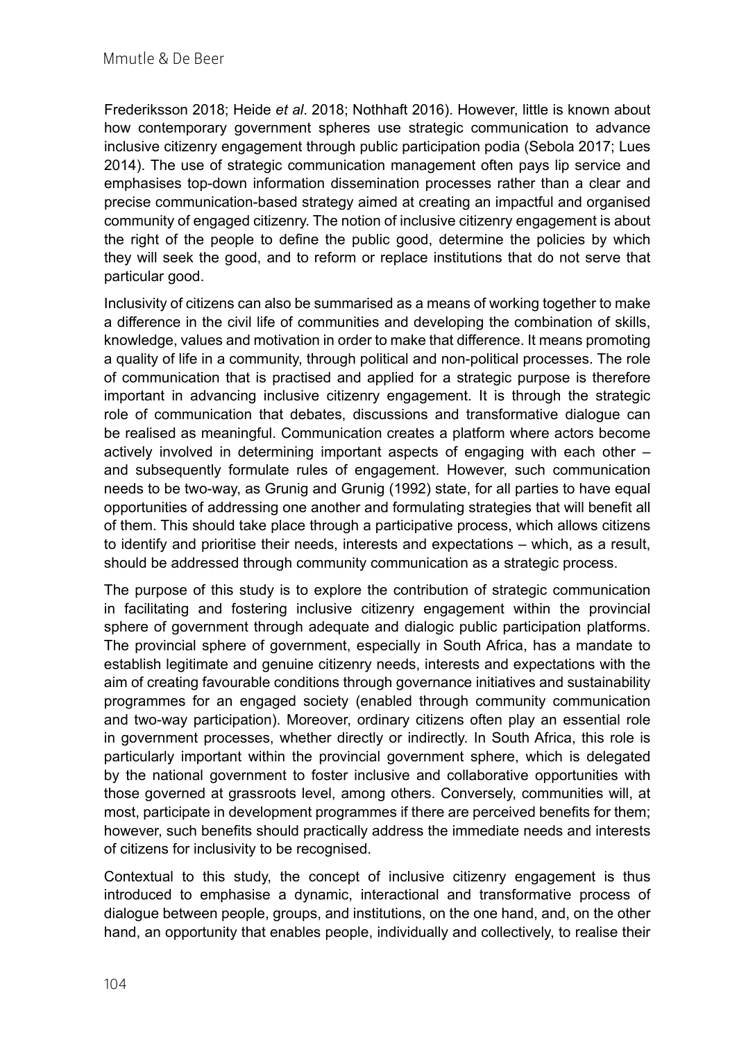Frederiksson 2018; Heide *et al*. 2018; Nothhaft 2016). However, little is known about how contemporary government spheres use strategic communication to advance inclusive citizenry engagement through public participation podia (Sebola 2017; Lues 2014). The use of strategic communication management often pays lip service and emphasises top-down information dissemination processes rather than a clear and precise communication-based strategy aimed at creating an impactful and organised community of engaged citizenry. The notion of inclusive citizenry engagement is about the right of the people to define the public good, determine the policies by which they will seek the good, and to reform or replace institutions that do not serve that particular good.

Inclusivity of citizens can also be summarised as a means of working together to make a difference in the civil life of communities and developing the combination of skills, knowledge, values and motivation in order to make that difference. It means promoting a quality of life in a community, through political and non-political processes. The role of communication that is practised and applied for a strategic purpose is therefore important in advancing inclusive citizenry engagement. It is through the strategic role of communication that debates, discussions and transformative dialogue can be realised as meaningful. Communication creates a platform where actors become actively involved in determining important aspects of engaging with each other – and subsequently formulate rules of engagement. However, such communication needs to be two-way, as Grunig and Grunig (1992) state, for all parties to have equal opportunities of addressing one another and formulating strategies that will benefit all of them. This should take place through a participative process, which allows citizens to identify and prioritise their needs, interests and expectations – which, as a result, should be addressed through community communication as a strategic process.

The purpose of this study is to explore the contribution of strategic communication in facilitating and fostering inclusive citizenry engagement within the provincial sphere of government through adequate and dialogic public participation platforms. The provincial sphere of government, especially in South Africa, has a mandate to establish legitimate and genuine citizenry needs, interests and expectations with the aim of creating favourable conditions through governance initiatives and sustainability programmes for an engaged society (enabled through community communication and two-way participation). Moreover, ordinary citizens often play an essential role in government processes, whether directly or indirectly. In South Africa, this role is particularly important within the provincial government sphere, which is delegated by the national government to foster inclusive and collaborative opportunities with those governed at grassroots level, among others. Conversely, communities will, at most, participate in development programmes if there are perceived benefits for them; however, such benefits should practically address the immediate needs and interests of citizens for inclusivity to be recognised.

Contextual to this study, the concept of inclusive citizenry engagement is thus introduced to emphasise a dynamic, interactional and transformative process of dialogue between people, groups, and institutions, on the one hand, and, on the other hand, an opportunity that enables people, individually and collectively, to realise their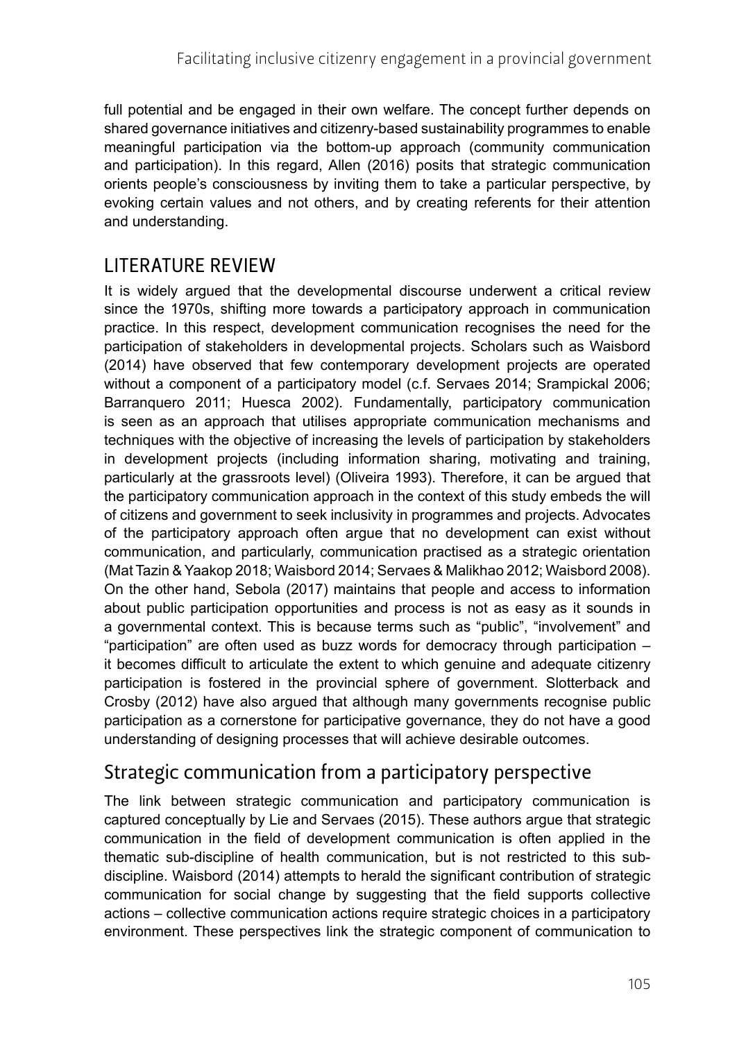full potential and be engaged in their own welfare. The concept further depends on shared governance initiatives and citizenry-based sustainability programmes to enable meaningful participation via the bottom-up approach (community communication and participation). In this regard, Allen (2016) posits that strategic communication orients people's consciousness by inviting them to take a particular perspective, by evoking certain values and not others, and by creating referents for their attention and understanding.

# LITERATURE REVIEW

It is widely argued that the developmental discourse underwent a critical review since the 1970s, shifting more towards a participatory approach in communication practice. In this respect, development communication recognises the need for the participation of stakeholders in developmental projects. Scholars such as Waisbord (2014) have observed that few contemporary development projects are operated without a component of a participatory model (c.f. Servaes 2014; Srampickal 2006; Barranquero 2011; Huesca 2002). Fundamentally, participatory communication is seen as an approach that utilises appropriate communication mechanisms and techniques with the objective of increasing the levels of participation by stakeholders in development projects (including information sharing, motivating and training, particularly at the grassroots level) (Oliveira 1993). Therefore, it can be argued that the participatory communication approach in the context of this study embeds the will of citizens and government to seek inclusivity in programmes and projects. Advocates of the participatory approach often argue that no development can exist without communication, and particularly, communication practised as a strategic orientation (Mat Tazin & Yaakop 2018; Waisbord 2014; Servaes & Malikhao 2012; Waisbord 2008). On the other hand, Sebola (2017) maintains that people and access to information about public participation opportunities and process is not as easy as it sounds in a governmental context. This is because terms such as "public", "involvement" and "participation" are often used as buzz words for democracy through participation – it becomes difficult to articulate the extent to which genuine and adequate citizenry participation is fostered in the provincial sphere of government. Slotterback and Crosby (2012) have also argued that although many governments recognise public participation as a cornerstone for participative governance, they do not have a good understanding of designing processes that will achieve desirable outcomes.

# Strategic communication from a participatory perspective

The link between strategic communication and participatory communication is captured conceptually by Lie and Servaes (2015). These authors argue that strategic communication in the field of development communication is often applied in the thematic sub-discipline of health communication, but is not restricted to this subdiscipline. Waisbord (2014) attempts to herald the significant contribution of strategic communication for social change by suggesting that the field supports collective actions – collective communication actions require strategic choices in a participatory environment. These perspectives link the strategic component of communication to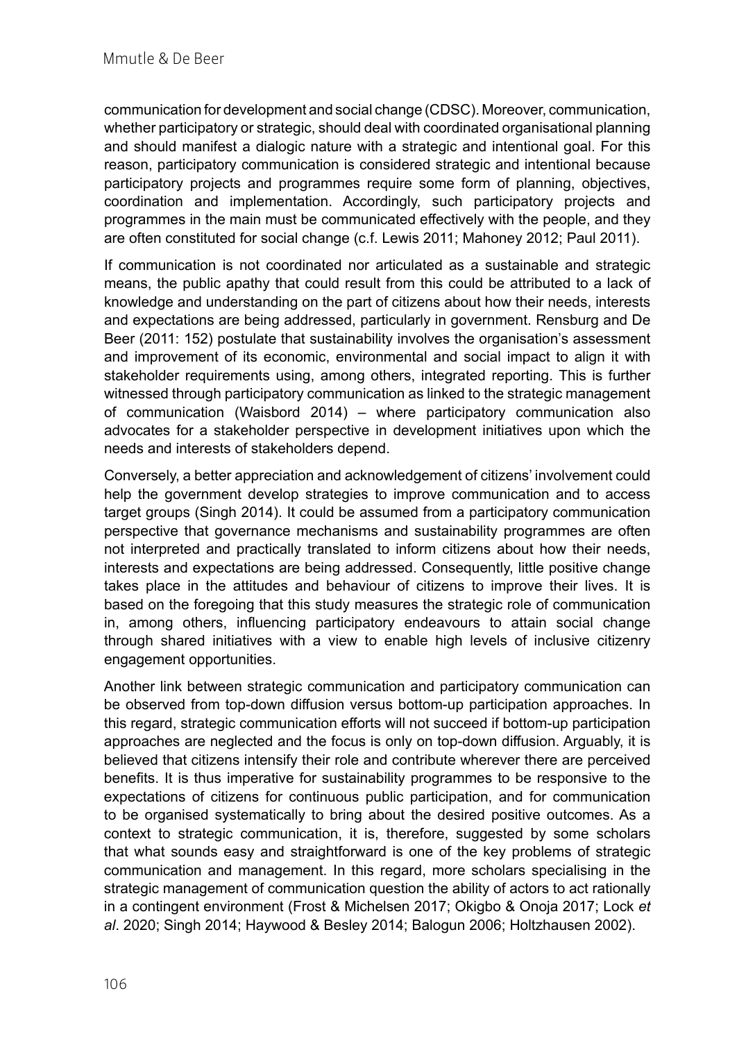communication for development and social change (CDSC). Moreover, communication, whether participatory or strategic, should deal with coordinated organisational planning and should manifest a dialogic nature with a strategic and intentional goal. For this reason, participatory communication is considered strategic and intentional because participatory projects and programmes require some form of planning, objectives, coordination and implementation. Accordingly, such participatory projects and programmes in the main must be communicated effectively with the people, and they are often constituted for social change (c.f. Lewis 2011; Mahoney 2012; Paul 2011).

If communication is not coordinated nor articulated as a sustainable and strategic means, the public apathy that could result from this could be attributed to a lack of knowledge and understanding on the part of citizens about how their needs, interests and expectations are being addressed, particularly in government. Rensburg and De Beer (2011: 152) postulate that sustainability involves the organisation's assessment and improvement of its economic, environmental and social impact to align it with stakeholder requirements using, among others, integrated reporting. This is further witnessed through participatory communication as linked to the strategic management of communication (Waisbord 2014) – where participatory communication also advocates for a stakeholder perspective in development initiatives upon which the needs and interests of stakeholders depend.

Conversely, a better appreciation and acknowledgement of citizens' involvement could help the government develop strategies to improve communication and to access target groups (Singh 2014). It could be assumed from a participatory communication perspective that governance mechanisms and sustainability programmes are often not interpreted and practically translated to inform citizens about how their needs, interests and expectations are being addressed. Consequently, little positive change takes place in the attitudes and behaviour of citizens to improve their lives. It is based on the foregoing that this study measures the strategic role of communication in, among others, influencing participatory endeavours to attain social change through shared initiatives with a view to enable high levels of inclusive citizenry engagement opportunities.

Another link between strategic communication and participatory communication can be observed from top-down diffusion versus bottom-up participation approaches. In this regard, strategic communication efforts will not succeed if bottom-up participation approaches are neglected and the focus is only on top-down diffusion. Arguably, it is believed that citizens intensify their role and contribute wherever there are perceived benefits. It is thus imperative for sustainability programmes to be responsive to the expectations of citizens for continuous public participation, and for communication to be organised systematically to bring about the desired positive outcomes. As a context to strategic communication, it is, therefore, suggested by some scholars that what sounds easy and straightforward is one of the key problems of strategic communication and management. In this regard, more scholars specialising in the strategic management of communication question the ability of actors to act rationally in a contingent environment (Frost & Michelsen 2017; Okigbo & Onoja 2017; Lock *et al*. 2020; Singh 2014; Haywood & Besley 2014; Balogun 2006; Holtzhausen 2002).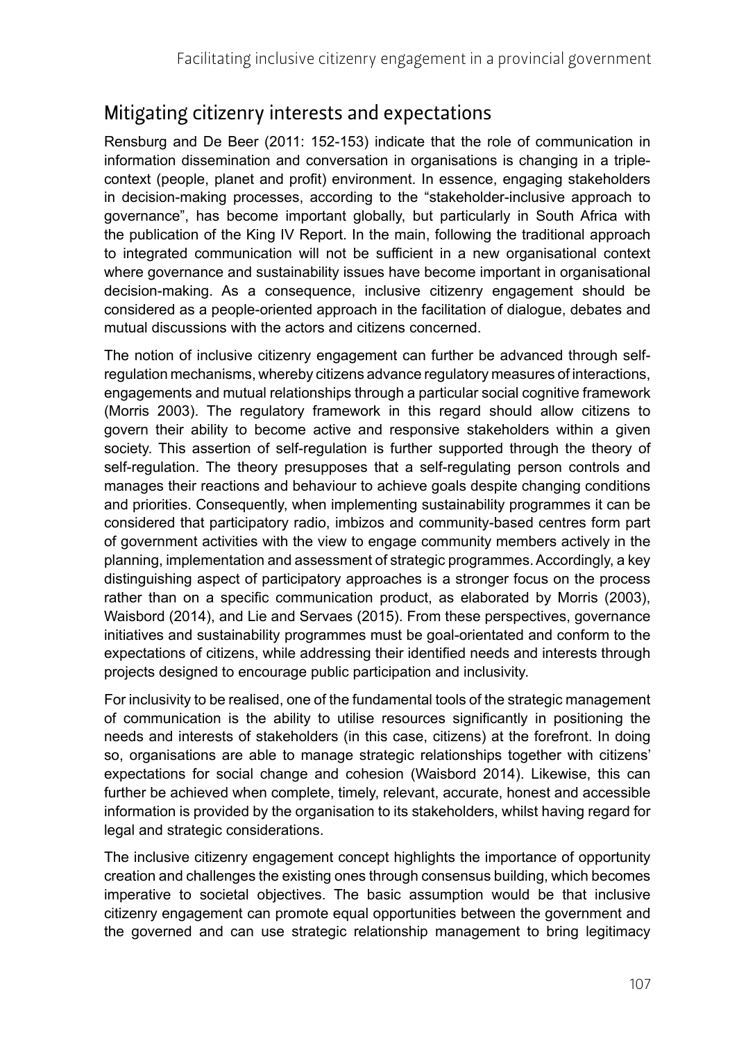# Mitigating citizenry interests and expectations

Rensburg and De Beer (2011: 152-153) indicate that the role of communication in information dissemination and conversation in organisations is changing in a triplecontext (people, planet and profit) environment. In essence, engaging stakeholders in decision-making processes, according to the "stakeholder-inclusive approach to governance", has become important globally, but particularly in South Africa with the publication of the King IV Report. In the main, following the traditional approach to integrated communication will not be sufficient in a new organisational context where governance and sustainability issues have become important in organisational decision-making. As a consequence, inclusive citizenry engagement should be considered as a people-oriented approach in the facilitation of dialogue, debates and mutual discussions with the actors and citizens concerned.

The notion of inclusive citizenry engagement can further be advanced through selfregulation mechanisms, whereby citizens advance regulatory measures of interactions, engagements and mutual relationships through a particular social cognitive framework (Morris 2003). The regulatory framework in this regard should allow citizens to govern their ability to become active and responsive stakeholders within a given society. This assertion of self-regulation is further supported through the theory of self-regulation. The theory presupposes that a self-regulating person controls and manages their reactions and behaviour to achieve goals despite changing conditions and priorities. Consequently, when implementing sustainability programmes it can be considered that participatory radio, imbizos and community-based centres form part of government activities with the view to engage community members actively in the planning, implementation and assessment of strategic programmes. Accordingly, a key distinguishing aspect of participatory approaches is a stronger focus on the process rather than on a specific communication product, as elaborated by Morris (2003), Waisbord (2014), and Lie and Servaes (2015). From these perspectives, governance initiatives and sustainability programmes must be goal-orientated and conform to the expectations of citizens, while addressing their identified needs and interests through projects designed to encourage public participation and inclusivity.

For inclusivity to be realised, one of the fundamental tools of the strategic management of communication is the ability to utilise resources significantly in positioning the needs and interests of stakeholders (in this case, citizens) at the forefront. In doing so, organisations are able to manage strategic relationships together with citizens' expectations for social change and cohesion (Waisbord 2014). Likewise, this can further be achieved when complete, timely, relevant, accurate, honest and accessible information is provided by the organisation to its stakeholders, whilst having regard for legal and strategic considerations.

The inclusive citizenry engagement concept highlights the importance of opportunity creation and challenges the existing ones through consensus building, which becomes imperative to societal objectives. The basic assumption would be that inclusive citizenry engagement can promote equal opportunities between the government and the governed and can use strategic relationship management to bring legitimacy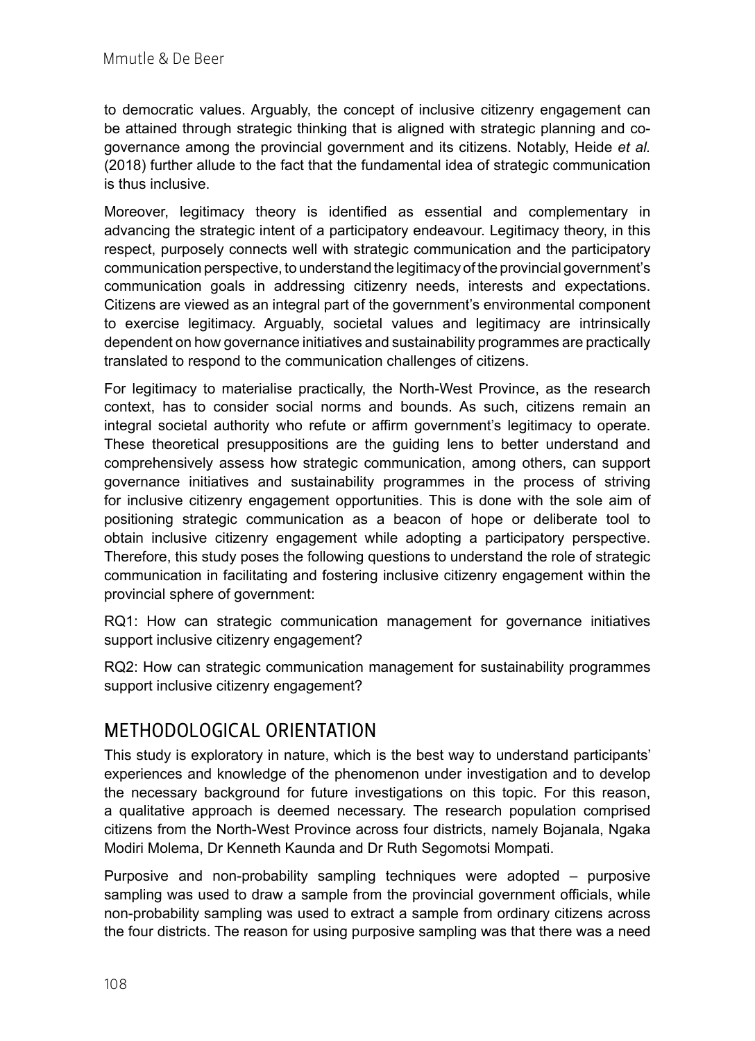to democratic values. Arguably, the concept of inclusive citizenry engagement can be attained through strategic thinking that is aligned with strategic planning and cogovernance among the provincial government and its citizens. Notably, Heide *et al.* (2018) further allude to the fact that the fundamental idea of strategic communication is thus inclusive.

Moreover, legitimacy theory is identified as essential and complementary in advancing the strategic intent of a participatory endeavour. Legitimacy theory, in this respect, purposely connects well with strategic communication and the participatory communication perspective, to understand the legitimacy of the provincial government's communication goals in addressing citizenry needs, interests and expectations. Citizens are viewed as an integral part of the government's environmental component to exercise legitimacy. Arguably, societal values and legitimacy are intrinsically dependent on how governance initiatives and sustainability programmes are practically translated to respond to the communication challenges of citizens.

For legitimacy to materialise practically, the North-West Province, as the research context, has to consider social norms and bounds. As such, citizens remain an integral societal authority who refute or affirm government's legitimacy to operate. These theoretical presuppositions are the guiding lens to better understand and comprehensively assess how strategic communication, among others, can support governance initiatives and sustainability programmes in the process of striving for inclusive citizenry engagement opportunities. This is done with the sole aim of positioning strategic communication as a beacon of hope or deliberate tool to obtain inclusive citizenry engagement while adopting a participatory perspective. Therefore, this study poses the following questions to understand the role of strategic communication in facilitating and fostering inclusive citizenry engagement within the provincial sphere of government:

RQ1: How can strategic communication management for governance initiatives support inclusive citizenry engagement?

RQ2: How can strategic communication management for sustainability programmes support inclusive citizenry engagement?

# METHODOLOGICAL ORIENTATION

This study is exploratory in nature, which is the best way to understand participants' experiences and knowledge of the phenomenon under investigation and to develop the necessary background for future investigations on this topic. For this reason, a qualitative approach is deemed necessary. The research population comprised citizens from the North-West Province across four districts, namely Bojanala, Ngaka Modiri Molema, Dr Kenneth Kaunda and Dr Ruth Segomotsi Mompati.

Purposive and non-probability sampling techniques were adopted – purposive sampling was used to draw a sample from the provincial government officials, while non-probability sampling was used to extract a sample from ordinary citizens across the four districts. The reason for using purposive sampling was that there was a need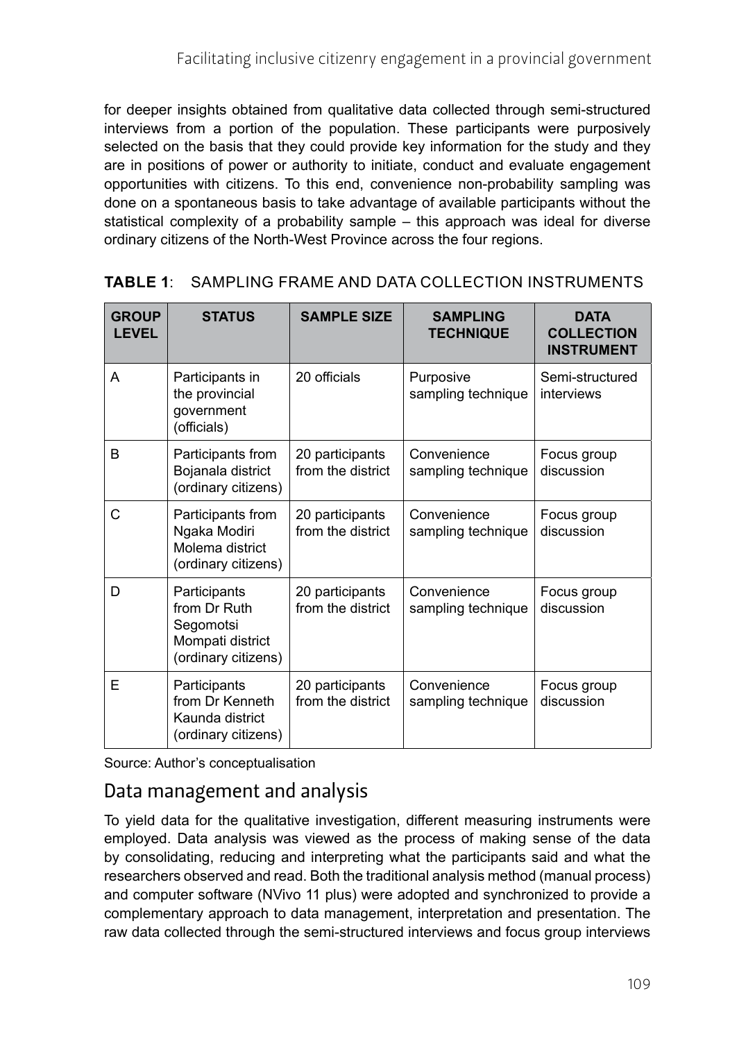for deeper insights obtained from qualitative data collected through semi-structured interviews from a portion of the population. These participants were purposively selected on the basis that they could provide key information for the study and they are in positions of power or authority to initiate, conduct and evaluate engagement opportunities with citizens. To this end, convenience non-probability sampling was done on a spontaneous basis to take advantage of available participants without the statistical complexity of a probability sample – this approach was ideal for diverse ordinary citizens of the North-West Province across the four regions.

| <b>GROUP</b><br><b>LEVEL</b> | <b>STATUS</b>                                                                        | <b>SAMPLE SIZE</b>                   | <b>SAMPLING</b><br><b>TECHNIQUE</b> | <b>DATA</b><br><b>COLLECTION</b><br><b>INSTRUMENT</b> |
|------------------------------|--------------------------------------------------------------------------------------|--------------------------------------|-------------------------------------|-------------------------------------------------------|
| A                            | Participants in<br>the provincial<br>government<br>(officials)                       | 20 officials                         | Purposive<br>sampling technique     | Semi-structured<br>interviews                         |
| B                            | Participants from<br>Bojanala district<br>(ordinary citizens)                        | 20 participants<br>from the district | Convenience<br>sampling technique   | Focus group<br>discussion                             |
| C                            | Participants from<br>Ngaka Modiri<br>Molema district<br>(ordinary citizens)          | 20 participants<br>from the district | Convenience<br>sampling technique   | Focus group<br>discussion                             |
| D                            | Participants<br>from Dr Ruth<br>Segomotsi<br>Mompati district<br>(ordinary citizens) | 20 participants<br>from the district | Convenience<br>sampling technique   | Focus group<br>discussion                             |
| E                            | Participants<br>from Dr Kenneth<br>Kaunda district<br>(ordinary citizens)            | 20 participants<br>from the district | Convenience<br>sampling technique   | Focus group<br>discussion                             |

#### **TABLE 1**: SAMPLING FRAME AND DATA COLLECTION INSTRUMENTS

Source: Author's conceptualisation

# Data management and analysis

To yield data for the qualitative investigation, different measuring instruments were employed. Data analysis was viewed as the process of making sense of the data by consolidating, reducing and interpreting what the participants said and what the researchers observed and read. Both the traditional analysis method (manual process) and computer software (NVivo 11 plus) were adopted and synchronized to provide a complementary approach to data management, interpretation and presentation. The raw data collected through the semi-structured interviews and focus group interviews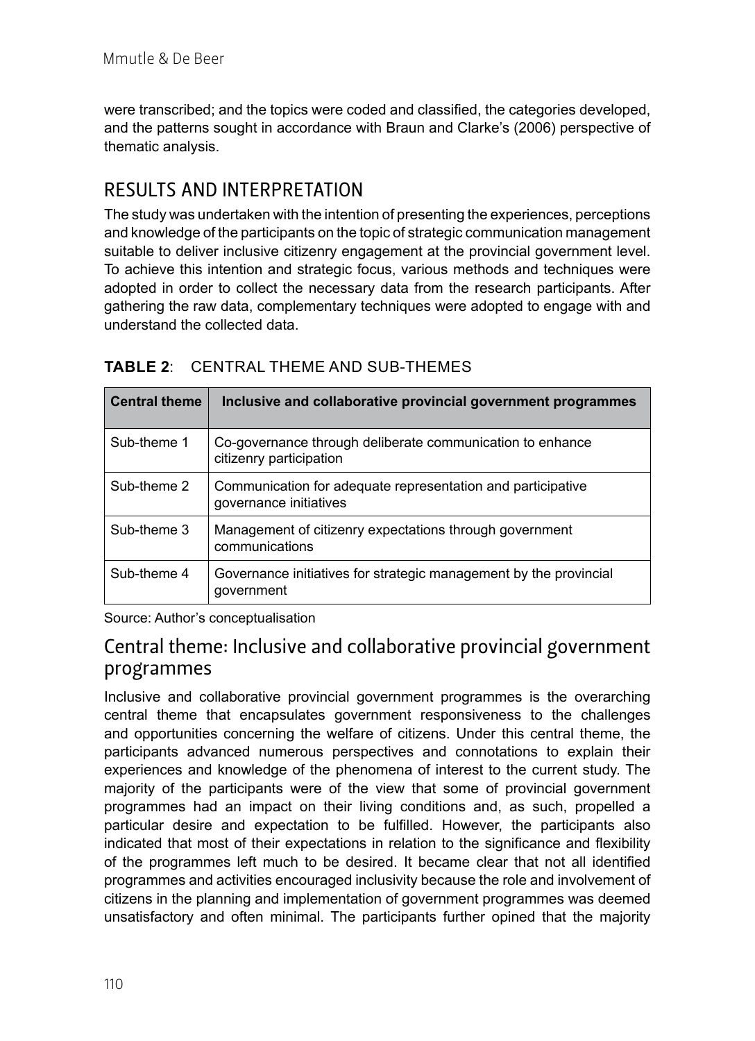were transcribed; and the topics were coded and classified, the categories developed, and the patterns sought in accordance with Braun and Clarke's (2006) perspective of thematic analysis.

# RESULTS AND INTERPRETATION

The study was undertaken with the intention of presenting the experiences, perceptions and knowledge of the participants on the topic of strategic communication management suitable to deliver inclusive citizenry engagement at the provincial government level. To achieve this intention and strategic focus, various methods and techniques were adopted in order to collect the necessary data from the research participants. After gathering the raw data, complementary techniques were adopted to engage with and understand the collected data.

| <b>Central theme</b> | Inclusive and collaborative provincial government programmes                          |
|----------------------|---------------------------------------------------------------------------------------|
| Sub-theme 1          | Co-governance through deliberate communication to enhance<br>citizenry participation  |
| Sub-theme 2          | Communication for adequate representation and participative<br>governance initiatives |
| Sub-theme 3          | Management of citizenry expectations through government<br>communications             |
| Sub-theme 4          | Governance initiatives for strategic management by the provincial<br>government       |

#### **TABLE 2**: CENTRAL THEME AND SUB-THEMES

Source: Author's conceptualisation

### Central theme: Inclusive and collaborative provincial government programmes

Inclusive and collaborative provincial government programmes is the overarching central theme that encapsulates government responsiveness to the challenges and opportunities concerning the welfare of citizens. Under this central theme, the participants advanced numerous perspectives and connotations to explain their experiences and knowledge of the phenomena of interest to the current study. The majority of the participants were of the view that some of provincial government programmes had an impact on their living conditions and, as such, propelled a particular desire and expectation to be fulfilled. However, the participants also indicated that most of their expectations in relation to the significance and flexibility of the programmes left much to be desired. It became clear that not all identified programmes and activities encouraged inclusivity because the role and involvement of citizens in the planning and implementation of government programmes was deemed unsatisfactory and often minimal. The participants further opined that the majority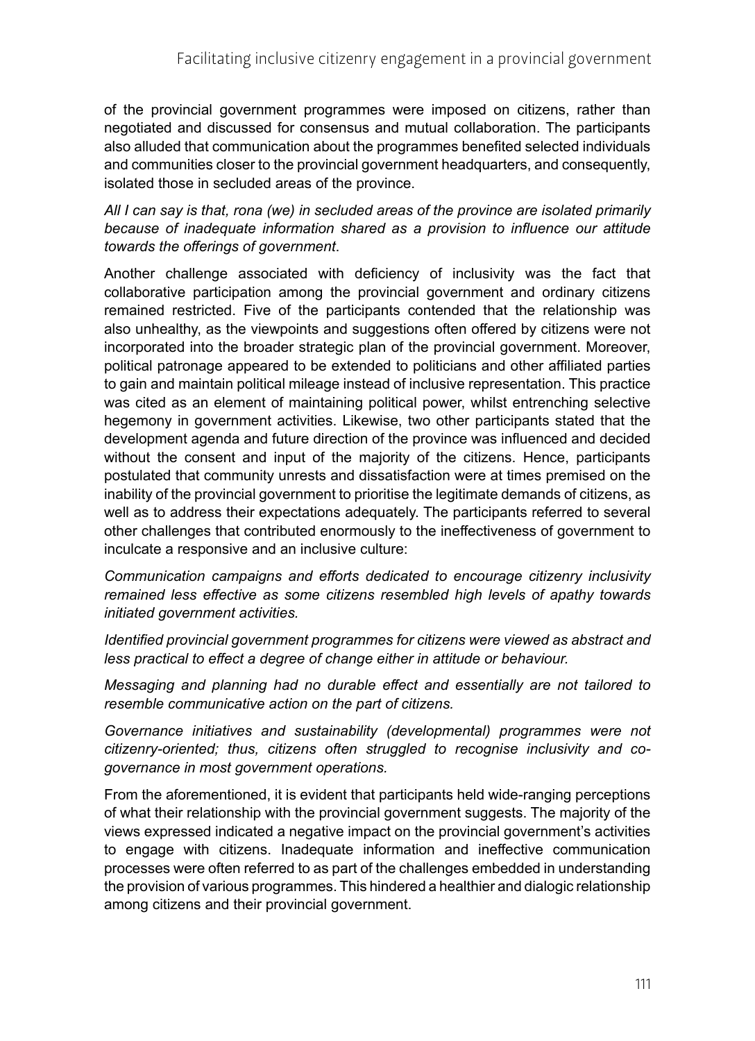of the provincial government programmes were imposed on citizens, rather than negotiated and discussed for consensus and mutual collaboration. The participants also alluded that communication about the programmes benefited selected individuals and communities closer to the provincial government headquarters, and consequently, isolated those in secluded areas of the province.

#### *All I can say is that, rona (we) in secluded areas of the province are isolated primarily because of inadequate information shared as a provision to influence our attitude towards the offerings of government*.

Another challenge associated with deficiency of inclusivity was the fact that collaborative participation among the provincial government and ordinary citizens remained restricted. Five of the participants contended that the relationship was also unhealthy, as the viewpoints and suggestions often offered by citizens were not incorporated into the broader strategic plan of the provincial government. Moreover, political patronage appeared to be extended to politicians and other affiliated parties to gain and maintain political mileage instead of inclusive representation. This practice was cited as an element of maintaining political power, whilst entrenching selective hegemony in government activities. Likewise, two other participants stated that the development agenda and future direction of the province was influenced and decided without the consent and input of the majority of the citizens. Hence, participants postulated that community unrests and dissatisfaction were at times premised on the inability of the provincial government to prioritise the legitimate demands of citizens, as well as to address their expectations adequately. The participants referred to several other challenges that contributed enormously to the ineffectiveness of government to inculcate a responsive and an inclusive culture:

*Communication campaigns and efforts dedicated to encourage citizenry inclusivity remained less effective as some citizens resembled high levels of apathy towards initiated government activities.*

*Identified provincial government programmes for citizens were viewed as abstract and less practical to effect a degree of change either in attitude or behaviour.*

*Messaging and planning had no durable effect and essentially are not tailored to resemble communicative action on the part of citizens.* 

*Governance initiatives and sustainability (developmental) programmes were not citizenry-oriented; thus, citizens often struggled to recognise inclusivity and cogovernance in most government operations.*

From the aforementioned, it is evident that participants held wide-ranging perceptions of what their relationship with the provincial government suggests. The majority of the views expressed indicated a negative impact on the provincial government's activities to engage with citizens. Inadequate information and ineffective communication processes were often referred to as part of the challenges embedded in understanding the provision of various programmes. This hindered a healthier and dialogic relationship among citizens and their provincial government.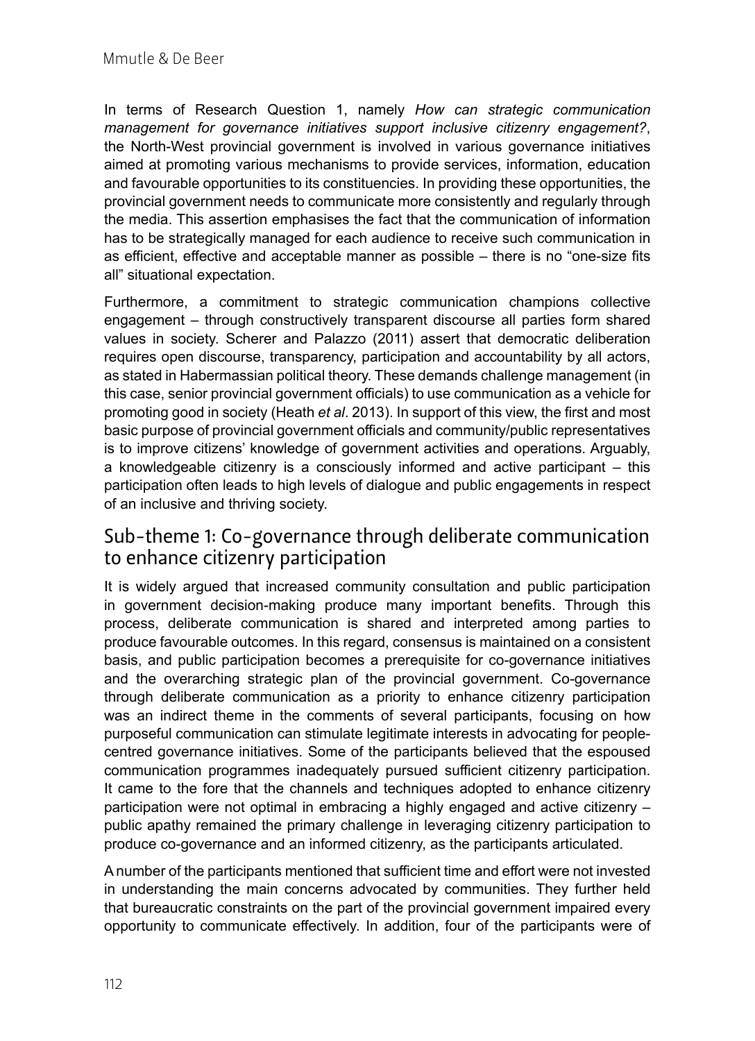In terms of Research Question 1, namely *How can strategic communication management for governance initiatives support inclusive citizenry engagement?*, the North-West provincial government is involved in various governance initiatives aimed at promoting various mechanisms to provide services, information, education and favourable opportunities to its constituencies. In providing these opportunities, the provincial government needs to communicate more consistently and regularly through the media. This assertion emphasises the fact that the communication of information has to be strategically managed for each audience to receive such communication in as efficient, effective and acceptable manner as possible – there is no "one-size fits all" situational expectation.

Furthermore, a commitment to strategic communication champions collective engagement – through constructively transparent discourse all parties form shared values in society. Scherer and Palazzo (2011) assert that democratic deliberation requires open discourse, transparency, participation and accountability by all actors, as stated in Habermassian political theory. These demands challenge management (in this case, senior provincial government officials) to use communication as a vehicle for promoting good in society (Heath *et al*. 2013). In support of this view, the first and most basic purpose of provincial government officials and community/public representatives is to improve citizens' knowledge of government activities and operations. Arguably, a knowledgeable citizenry is a consciously informed and active participant – this participation often leads to high levels of dialogue and public engagements in respect of an inclusive and thriving society.

### Sub-theme 1: Co-governance through deliberate communication to enhance citizenry participation

It is widely argued that increased community consultation and public participation in government decision-making produce many important benefits. Through this process, deliberate communication is shared and interpreted among parties to produce favourable outcomes. In this regard, consensus is maintained on a consistent basis, and public participation becomes a prerequisite for co-governance initiatives and the overarching strategic plan of the provincial government. Co-governance through deliberate communication as a priority to enhance citizenry participation was an indirect theme in the comments of several participants, focusing on how purposeful communication can stimulate legitimate interests in advocating for peoplecentred governance initiatives. Some of the participants believed that the espoused communication programmes inadequately pursued sufficient citizenry participation. It came to the fore that the channels and techniques adopted to enhance citizenry participation were not optimal in embracing a highly engaged and active citizenry – public apathy remained the primary challenge in leveraging citizenry participation to produce co-governance and an informed citizenry, as the participants articulated.

A number of the participants mentioned that sufficient time and effort were not invested in understanding the main concerns advocated by communities. They further held that bureaucratic constraints on the part of the provincial government impaired every opportunity to communicate effectively. In addition, four of the participants were of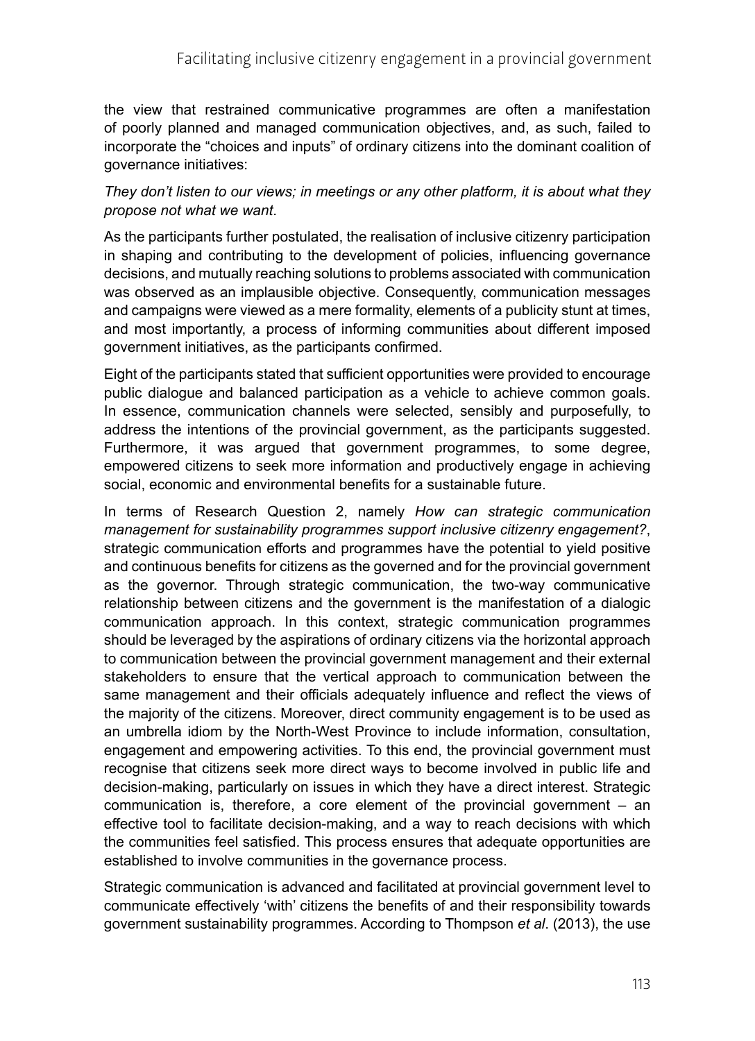the view that restrained communicative programmes are often a manifestation of poorly planned and managed communication objectives, and, as such, failed to incorporate the "choices and inputs" of ordinary citizens into the dominant coalition of governance initiatives:

#### *They don't listen to our views; in meetings or any other platform, it is about what they propose not what we want*.

As the participants further postulated, the realisation of inclusive citizenry participation in shaping and contributing to the development of policies, influencing governance decisions, and mutually reaching solutions to problems associated with communication was observed as an implausible objective. Consequently, communication messages and campaigns were viewed as a mere formality, elements of a publicity stunt at times, and most importantly, a process of informing communities about different imposed government initiatives, as the participants confirmed.

Eight of the participants stated that sufficient opportunities were provided to encourage public dialogue and balanced participation as a vehicle to achieve common goals. In essence, communication channels were selected, sensibly and purposefully, to address the intentions of the provincial government, as the participants suggested. Furthermore, it was argued that government programmes, to some degree, empowered citizens to seek more information and productively engage in achieving social, economic and environmental benefits for a sustainable future.

In terms of Research Question 2, namely *How can strategic communication management for sustainability programmes support inclusive citizenry engagement?*, strategic communication efforts and programmes have the potential to yield positive and continuous benefits for citizens as the governed and for the provincial government as the governor. Through strategic communication, the two-way communicative relationship between citizens and the government is the manifestation of a dialogic communication approach. In this context, strategic communication programmes should be leveraged by the aspirations of ordinary citizens via the horizontal approach to communication between the provincial government management and their external stakeholders to ensure that the vertical approach to communication between the same management and their officials adequately influence and reflect the views of the majority of the citizens. Moreover, direct community engagement is to be used as an umbrella idiom by the North-West Province to include information, consultation, engagement and empowering activities. To this end, the provincial government must recognise that citizens seek more direct ways to become involved in public life and decision-making, particularly on issues in which they have a direct interest. Strategic communication is, therefore, a core element of the provincial government – an effective tool to facilitate decision-making, and a way to reach decisions with which the communities feel satisfied. This process ensures that adequate opportunities are established to involve communities in the governance process.

Strategic communication is advanced and facilitated at provincial government level to communicate effectively 'with' citizens the benefits of and their responsibility towards government sustainability programmes. According to Thompson *et al*. (2013), the use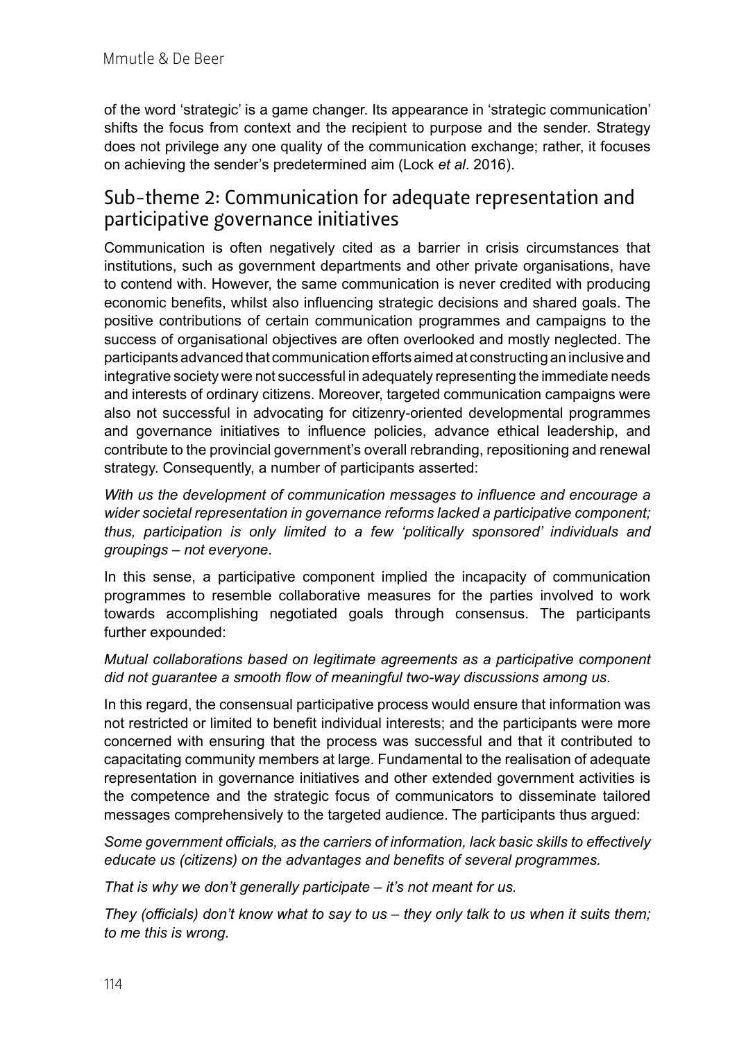of the word 'strategic' is a game changer. Its appearance in 'strategic communication' shifts the focus from context and the recipient to purpose and the sender. Strategy does not privilege any one quality of the communication exchange; rather, it focuses on achieving the sender's predetermined aim (Lock *et al*. 2016).

### Sub-theme 2: Communication for adequate representation and participative governance initiatives

Communication is often negatively cited as a barrier in crisis circumstances that institutions, such as government departments and other private organisations, have to contend with. However, the same communication is never credited with producing economic benefits, whilst also influencing strategic decisions and shared goals. The positive contributions of certain communication programmes and campaigns to the success of organisational objectives are often overlooked and mostly neglected. The participants advanced that communication efforts aimed at constructing an inclusive and integrative society were not successful in adequately representing the immediate needs and interests of ordinary citizens. Moreover, targeted communication campaigns were also not successful in advocating for citizenry-oriented developmental programmes and governance initiatives to influence policies, advance ethical leadership, and contribute to the provincial government's overall rebranding, repositioning and renewal strategy. Consequently, a number of participants asserted:

*With us the development of communication messages to influence and encourage a wider societal representation in governance reforms lacked a participative component; thus, participation is only limited to a few 'politically sponsored' individuals and groupings – not everyone*.

In this sense, a participative component implied the incapacity of communication programmes to resemble collaborative measures for the parties involved to work towards accomplishing negotiated goals through consensus. The participants further expounded:

#### *Mutual collaborations based on legitimate agreements as a participative component did not guarantee a smooth flow of meaningful two-way discussions among us*.

In this regard, the consensual participative process would ensure that information was not restricted or limited to benefit individual interests; and the participants were more concerned with ensuring that the process was successful and that it contributed to capacitating community members at large. Fundamental to the realisation of adequate representation in governance initiatives and other extended government activities is the competence and the strategic focus of communicators to disseminate tailored messages comprehensively to the targeted audience. The participants thus argued:

*Some government officials, as the carriers of information, lack basic skills to effectively educate us (citizens) on the advantages and benefits of several programmes.* 

*That is why we don't generally participate – it's not meant for us.* 

*They (officials) don't know what to say to us – they only talk to us when it suits them; to me this is wrong.*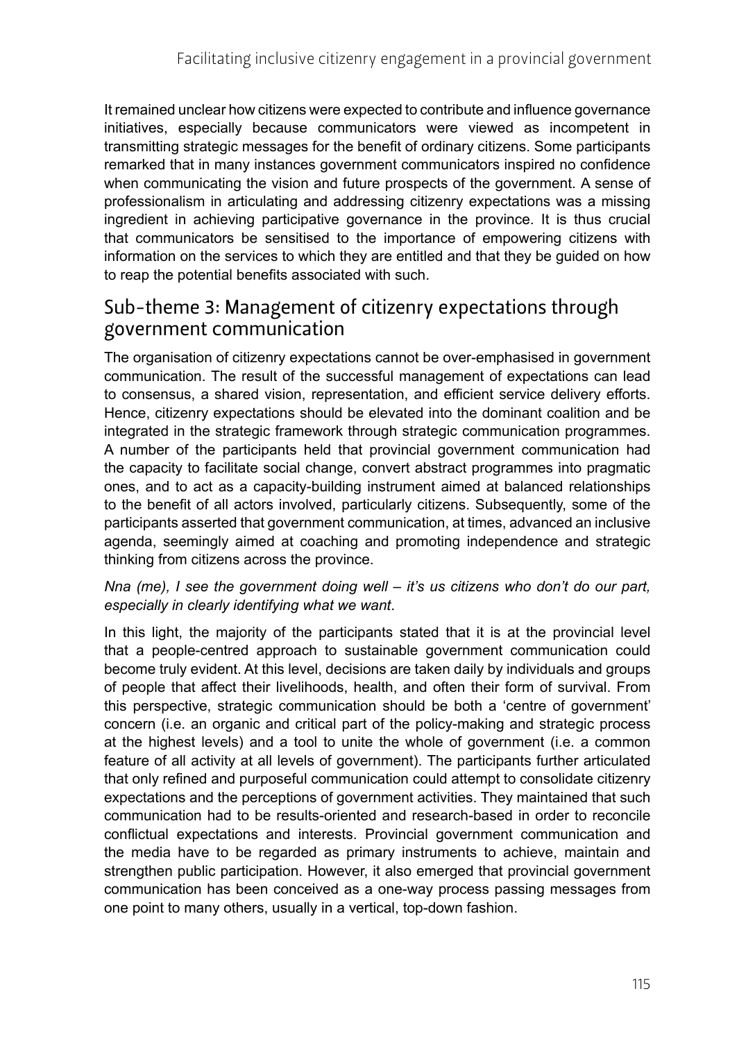It remained unclear how citizens were expected to contribute and influence governance initiatives, especially because communicators were viewed as incompetent in transmitting strategic messages for the benefit of ordinary citizens. Some participants remarked that in many instances government communicators inspired no confidence when communicating the vision and future prospects of the government. A sense of professionalism in articulating and addressing citizenry expectations was a missing ingredient in achieving participative governance in the province. It is thus crucial that communicators be sensitised to the importance of empowering citizens with information on the services to which they are entitled and that they be guided on how to reap the potential benefits associated with such.

### Sub-theme 3: Management of citizenry expectations through government communication

The organisation of citizenry expectations cannot be over-emphasised in government communication. The result of the successful management of expectations can lead to consensus, a shared vision, representation, and efficient service delivery efforts. Hence, citizenry expectations should be elevated into the dominant coalition and be integrated in the strategic framework through strategic communication programmes. A number of the participants held that provincial government communication had the capacity to facilitate social change, convert abstract programmes into pragmatic ones, and to act as a capacity-building instrument aimed at balanced relationships to the benefit of all actors involved, particularly citizens. Subsequently, some of the participants asserted that government communication, at times, advanced an inclusive agenda, seemingly aimed at coaching and promoting independence and strategic thinking from citizens across the province.

#### *Nna (me), I see the government doing well – it's us citizens who don't do our part, especially in clearly identifying what we want*.

In this light, the majority of the participants stated that it is at the provincial level that a people-centred approach to sustainable government communication could become truly evident. At this level, decisions are taken daily by individuals and groups of people that affect their livelihoods, health, and often their form of survival. From this perspective, strategic communication should be both a 'centre of government' concern (i.e. an organic and critical part of the policy-making and strategic process at the highest levels) and a tool to unite the whole of government (i.e. a common feature of all activity at all levels of government). The participants further articulated that only refined and purposeful communication could attempt to consolidate citizenry expectations and the perceptions of government activities. They maintained that such communication had to be results-oriented and research-based in order to reconcile conflictual expectations and interests. Provincial government communication and the media have to be regarded as primary instruments to achieve, maintain and strengthen public participation. However, it also emerged that provincial government communication has been conceived as a one-way process passing messages from one point to many others, usually in a vertical, top-down fashion.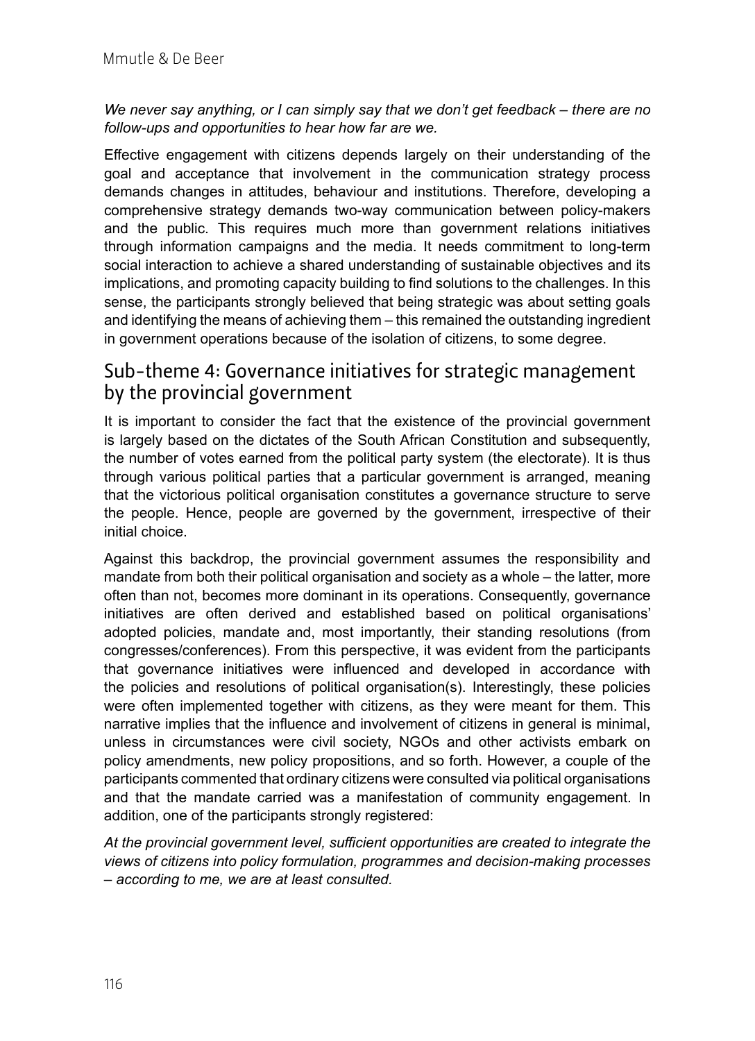*We never say anything, or I can simply say that we don't get feedback – there are no follow-ups and opportunities to hear how far are we.*

Effective engagement with citizens depends largely on their understanding of the goal and acceptance that involvement in the communication strategy process demands changes in attitudes, behaviour and institutions. Therefore, developing a comprehensive strategy demands two-way communication between policy-makers and the public. This requires much more than government relations initiatives through information campaigns and the media. It needs commitment to long-term social interaction to achieve a shared understanding of sustainable objectives and its implications, and promoting capacity building to find solutions to the challenges. In this sense, the participants strongly believed that being strategic was about setting goals and identifying the means of achieving them – this remained the outstanding ingredient in government operations because of the isolation of citizens, to some degree.

### Sub-theme 4: Governance initiatives for strategic management by the provincial government

It is important to consider the fact that the existence of the provincial government is largely based on the dictates of the South African Constitution and subsequently, the number of votes earned from the political party system (the electorate). It is thus through various political parties that a particular government is arranged, meaning that the victorious political organisation constitutes a governance structure to serve the people. Hence, people are governed by the government, irrespective of their initial choice.

Against this backdrop, the provincial government assumes the responsibility and mandate from both their political organisation and society as a whole – the latter, more often than not, becomes more dominant in its operations. Consequently, governance initiatives are often derived and established based on political organisations' adopted policies, mandate and, most importantly, their standing resolutions (from congresses/conferences). From this perspective, it was evident from the participants that governance initiatives were influenced and developed in accordance with the policies and resolutions of political organisation(s). Interestingly, these policies were often implemented together with citizens, as they were meant for them. This narrative implies that the influence and involvement of citizens in general is minimal, unless in circumstances were civil society, NGOs and other activists embark on policy amendments, new policy propositions, and so forth. However, a couple of the participants commented that ordinary citizens were consulted via political organisations and that the mandate carried was a manifestation of community engagement. In addition, one of the participants strongly registered:

*At the provincial government level, sufficient opportunities are created to integrate the views of citizens into policy formulation, programmes and decision-making processes – according to me, we are at least consulted.*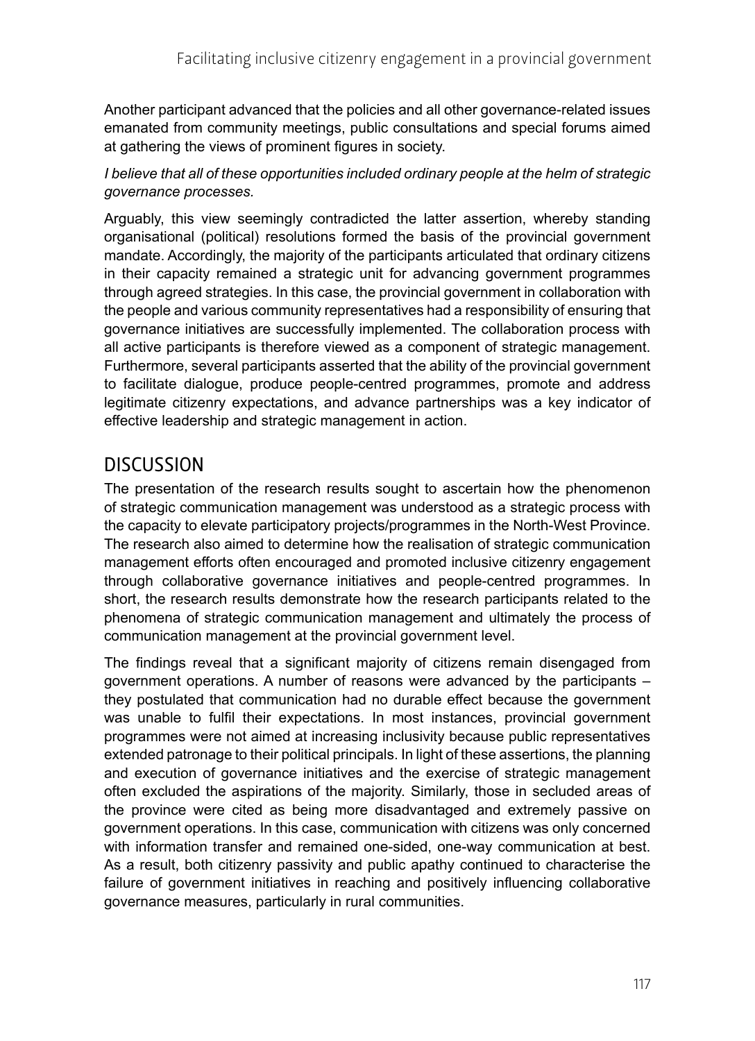Another participant advanced that the policies and all other governance-related issues emanated from community meetings, public consultations and special forums aimed at gathering the views of prominent figures in society.

#### *I believe that all of these opportunities included ordinary people at the helm of strategic governance processes.*

Arguably, this view seemingly contradicted the latter assertion, whereby standing organisational (political) resolutions formed the basis of the provincial government mandate. Accordingly, the majority of the participants articulated that ordinary citizens in their capacity remained a strategic unit for advancing government programmes through agreed strategies. In this case, the provincial government in collaboration with the people and various community representatives had a responsibility of ensuring that governance initiatives are successfully implemented. The collaboration process with all active participants is therefore viewed as a component of strategic management. Furthermore, several participants asserted that the ability of the provincial government to facilitate dialogue, produce people-centred programmes, promote and address legitimate citizenry expectations, and advance partnerships was a key indicator of effective leadership and strategic management in action.

# **DISCUSSION**

The presentation of the research results sought to ascertain how the phenomenon of strategic communication management was understood as a strategic process with the capacity to elevate participatory projects/programmes in the North-West Province. The research also aimed to determine how the realisation of strategic communication management efforts often encouraged and promoted inclusive citizenry engagement through collaborative governance initiatives and people-centred programmes. In short, the research results demonstrate how the research participants related to the phenomena of strategic communication management and ultimately the process of communication management at the provincial government level.

The findings reveal that a significant majority of citizens remain disengaged from government operations. A number of reasons were advanced by the participants – they postulated that communication had no durable effect because the government was unable to fulfil their expectations. In most instances, provincial government programmes were not aimed at increasing inclusivity because public representatives extended patronage to their political principals. In light of these assertions, the planning and execution of governance initiatives and the exercise of strategic management often excluded the aspirations of the majority. Similarly, those in secluded areas of the province were cited as being more disadvantaged and extremely passive on government operations. In this case, communication with citizens was only concerned with information transfer and remained one-sided, one-way communication at best. As a result, both citizenry passivity and public apathy continued to characterise the failure of government initiatives in reaching and positively influencing collaborative governance measures, particularly in rural communities.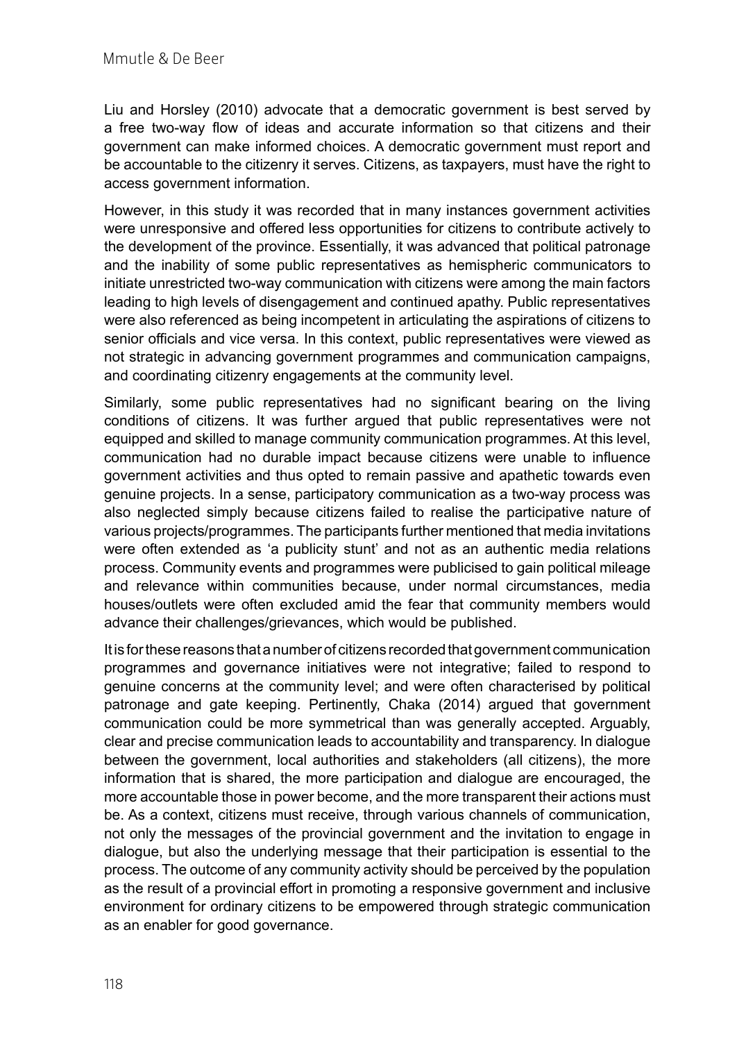Liu and Horsley (2010) advocate that a democratic government is best served by a free two-way flow of ideas and accurate information so that citizens and their government can make informed choices. A democratic government must report and be accountable to the citizenry it serves. Citizens, as taxpayers, must have the right to access government information.

However, in this study it was recorded that in many instances government activities were unresponsive and offered less opportunities for citizens to contribute actively to the development of the province. Essentially, it was advanced that political patronage and the inability of some public representatives as hemispheric communicators to initiate unrestricted two-way communication with citizens were among the main factors leading to high levels of disengagement and continued apathy. Public representatives were also referenced as being incompetent in articulating the aspirations of citizens to senior officials and vice versa. In this context, public representatives were viewed as not strategic in advancing government programmes and communication campaigns, and coordinating citizenry engagements at the community level.

Similarly, some public representatives had no significant bearing on the living conditions of citizens. It was further argued that public representatives were not equipped and skilled to manage community communication programmes. At this level, communication had no durable impact because citizens were unable to influence government activities and thus opted to remain passive and apathetic towards even genuine projects. In a sense, participatory communication as a two-way process was also neglected simply because citizens failed to realise the participative nature of various projects/programmes. The participants further mentioned that media invitations were often extended as 'a publicity stunt' and not as an authentic media relations process. Community events and programmes were publicised to gain political mileage and relevance within communities because, under normal circumstances, media houses/outlets were often excluded amid the fear that community members would advance their challenges/grievances, which would be published.

It is for these reasons that a number of citizens recorded that government communication programmes and governance initiatives were not integrative; failed to respond to genuine concerns at the community level; and were often characterised by political patronage and gate keeping. Pertinently, Chaka (2014) argued that government communication could be more symmetrical than was generally accepted. Arguably, clear and precise communication leads to accountability and transparency. In dialogue between the government, local authorities and stakeholders (all citizens), the more information that is shared, the more participation and dialogue are encouraged, the more accountable those in power become, and the more transparent their actions must be. As a context, citizens must receive, through various channels of communication, not only the messages of the provincial government and the invitation to engage in dialogue, but also the underlying message that their participation is essential to the process. The outcome of any community activity should be perceived by the population as the result of a provincial effort in promoting a responsive government and inclusive environment for ordinary citizens to be empowered through strategic communication as an enabler for good governance.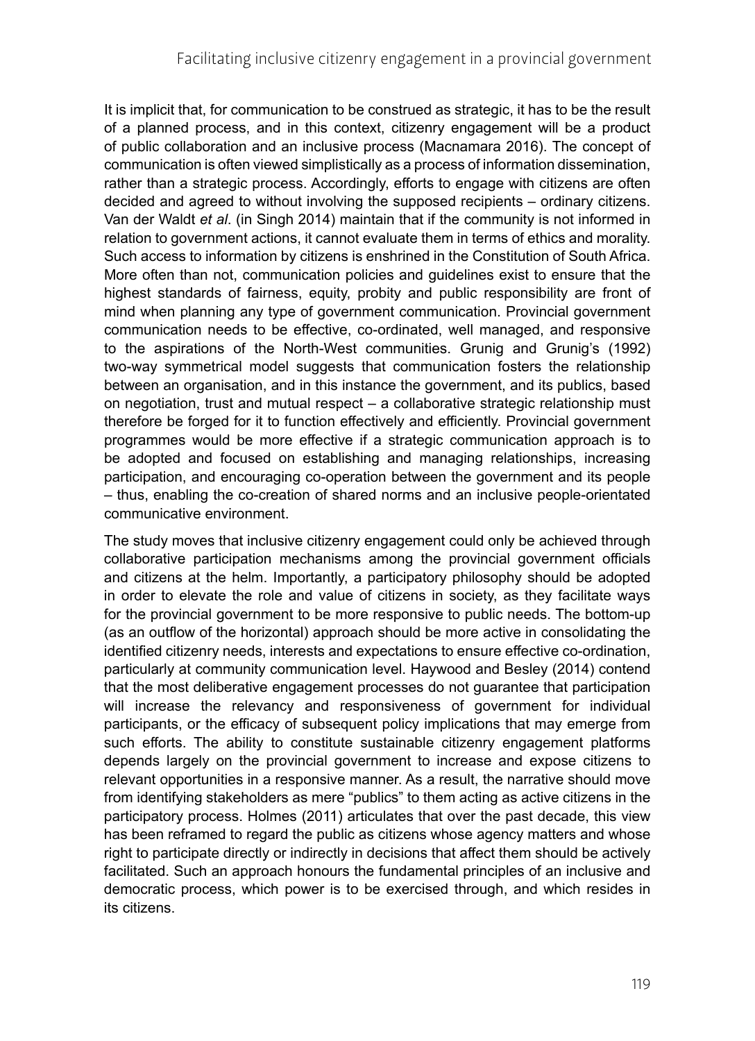It is implicit that, for communication to be construed as strategic, it has to be the result of a planned process, and in this context, citizenry engagement will be a product of public collaboration and an inclusive process (Macnamara 2016). The concept of communication is often viewed simplistically as a process of information dissemination, rather than a strategic process. Accordingly, efforts to engage with citizens are often decided and agreed to without involving the supposed recipients – ordinary citizens. Van der Waldt *et al*. (in Singh 2014) maintain that if the community is not informed in relation to government actions, it cannot evaluate them in terms of ethics and morality. Such access to information by citizens is enshrined in the Constitution of South Africa. More often than not, communication policies and guidelines exist to ensure that the highest standards of fairness, equity, probity and public responsibility are front of mind when planning any type of government communication. Provincial government communication needs to be effective, co-ordinated, well managed, and responsive to the aspirations of the North-West communities. Grunig and Grunig's (1992) two-way symmetrical model suggests that communication fosters the relationship between an organisation, and in this instance the government, and its publics, based on negotiation, trust and mutual respect – a collaborative strategic relationship must therefore be forged for it to function effectively and efficiently. Provincial government programmes would be more effective if a strategic communication approach is to be adopted and focused on establishing and managing relationships, increasing participation, and encouraging co-operation between the government and its people – thus, enabling the co-creation of shared norms and an inclusive people-orientated communicative environment.

The study moves that inclusive citizenry engagement could only be achieved through collaborative participation mechanisms among the provincial government officials and citizens at the helm. Importantly, a participatory philosophy should be adopted in order to elevate the role and value of citizens in society, as they facilitate ways for the provincial government to be more responsive to public needs. The bottom-up (as an outflow of the horizontal) approach should be more active in consolidating the identified citizenry needs, interests and expectations to ensure effective co-ordination, particularly at community communication level. Haywood and Besley (2014) contend that the most deliberative engagement processes do not guarantee that participation will increase the relevancy and responsiveness of government for individual participants, or the efficacy of subsequent policy implications that may emerge from such efforts. The ability to constitute sustainable citizenry engagement platforms depends largely on the provincial government to increase and expose citizens to relevant opportunities in a responsive manner. As a result, the narrative should move from identifying stakeholders as mere "publics" to them acting as active citizens in the participatory process. Holmes (2011) articulates that over the past decade, this view has been reframed to regard the public as citizens whose agency matters and whose right to participate directly or indirectly in decisions that affect them should be actively facilitated. Such an approach honours the fundamental principles of an inclusive and democratic process, which power is to be exercised through, and which resides in its citizens.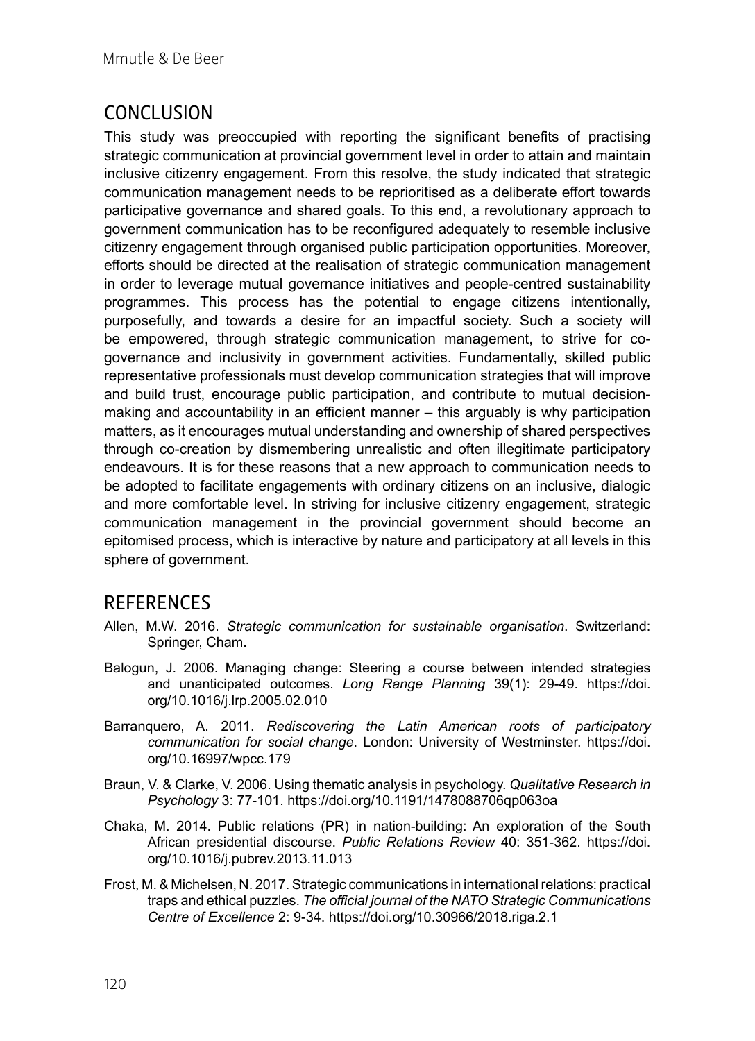# CONCLUSION

This study was preoccupied with reporting the significant benefits of practising strategic communication at provincial government level in order to attain and maintain inclusive citizenry engagement. From this resolve, the study indicated that strategic communication management needs to be reprioritised as a deliberate effort towards participative governance and shared goals. To this end, a revolutionary approach to government communication has to be reconfigured adequately to resemble inclusive citizenry engagement through organised public participation opportunities. Moreover, efforts should be directed at the realisation of strategic communication management in order to leverage mutual governance initiatives and people-centred sustainability programmes. This process has the potential to engage citizens intentionally, purposefully, and towards a desire for an impactful society. Such a society will be empowered, through strategic communication management, to strive for cogovernance and inclusivity in government activities. Fundamentally, skilled public representative professionals must develop communication strategies that will improve and build trust, encourage public participation, and contribute to mutual decisionmaking and accountability in an efficient manner – this arguably is why participation matters, as it encourages mutual understanding and ownership of shared perspectives through co-creation by dismembering unrealistic and often illegitimate participatory endeavours. It is for these reasons that a new approach to communication needs to be adopted to facilitate engagements with ordinary citizens on an inclusive, dialogic and more comfortable level. In striving for inclusive citizenry engagement, strategic communication management in the provincial government should become an epitomised process, which is interactive by nature and participatory at all levels in this sphere of government.

### **REFERENCES**

- Allen, M.W. 2016. *Strategic communication for sustainable organisation*. Switzerland: Springer, Cham.
- Balogun, J. 2006. Managing change: Steering a course between intended strategies and unanticipated outcomes. *Long Range Planning* 39(1): 29-49. [https://doi.](https://doi.org/10.1016/j.lrp.2005.02.010) [org/10.1016/j.lrp.2005.02.010](https://doi.org/10.1016/j.lrp.2005.02.010)
- Barranquero, A. 2011. *Rediscovering the Latin American roots of participatory communication for social change*. London: University of Westminster. [https://doi.](https://doi.org/10.16997/wpcc.179) [org/10.16997/wpcc.179](https://doi.org/10.16997/wpcc.179)
- Braun, V. & Clarke, V. 2006. Using thematic analysis in psychology. *Qualitative Research in Psychology* 3: 77-101. <https://doi.org/10.1191/1478088706qp063oa>
- Chaka, M. 2014. Public relations (PR) in nation-building: An exploration of the South African presidential discourse. *Public Relations Review* 40: 351-362. [https://doi.](https://doi.org/10.1016/j.pubrev.2013.11.013) [org/10.1016/j.pubrev.2013.11.013](https://doi.org/10.1016/j.pubrev.2013.11.013)
- Frost, M. & Michelsen, N. 2017. Strategic communications in international relations: practical traps and ethical puzzles. *The official journal of the NATO Strategic Communications Centre of Excellence* 2: 9-34. <https://doi.org/10.30966/2018.riga.2.1>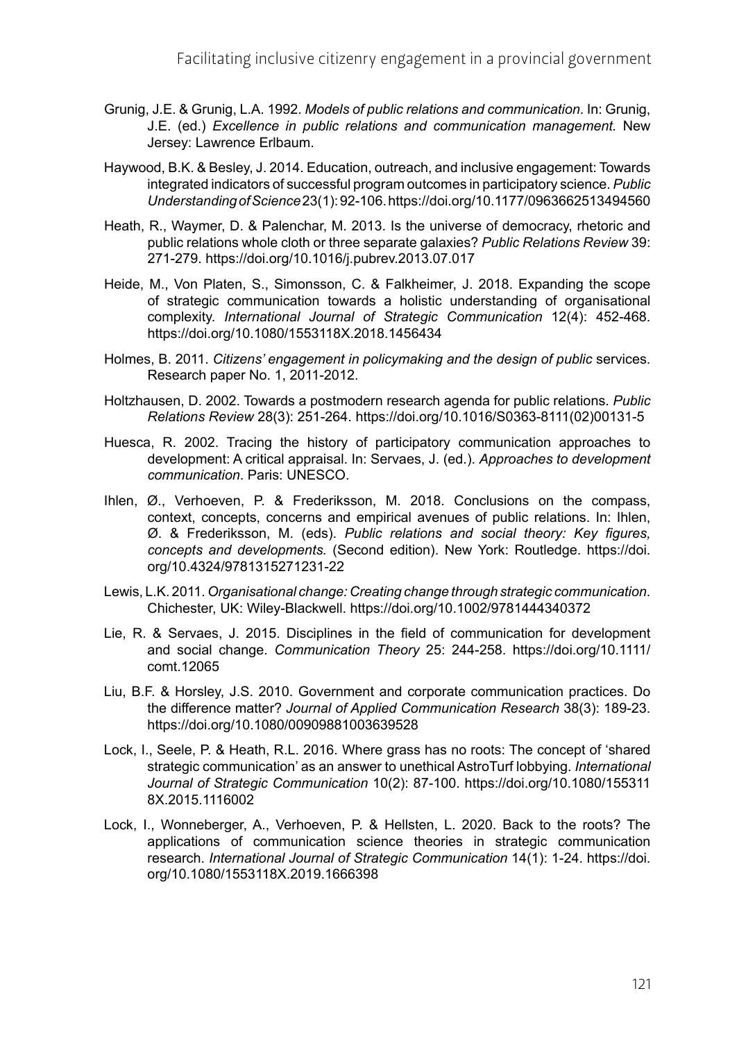- Grunig, J.E. & Grunig, L.A. 1992. *Models of public relations and communication*. In: Grunig, J.E. (ed.) *Excellence in public relations and communication management.* New Jersey: Lawrence Erlbaum.
- Haywood, B.K. & Besley, J. 2014. Education, outreach, and inclusive engagement: Towards integrated indicators of successful program outcomes in participatory science. *Public Understanding of Science* 23(1): 92-106.<https://doi.org/10.1177/0963662513494560>
- Heath, R., Waymer, D. & Palenchar, M. 2013. Is the universe of democracy, rhetoric and public relations whole cloth or three separate galaxies? *Public Relations Review* 39: 271-279.<https://doi.org/10.1016/j.pubrev.2013.07.017>
- Heide, M., Von Platen, S., Simonsson, C. & Falkheimer, J. 2018. Expanding the scope of strategic communication towards a holistic understanding of organisational complexity. *International Journal of Strategic Communication* 12(4): 452-468. <https://doi.org/10.1080/1553118X.2018.1456434>
- Holmes, B. 2011. *Citizens' engagement in policymaking and the design of public* services. Research paper No. 1, 2011-2012.
- Holtzhausen, D. 2002. Towards a postmodern research agenda for public relations. *Public Relations Review* 28(3): 251-264. [https://doi.org/10.1016/S0363-8111\(02\)00131-5](https://doi.org/10.1016/S0363-8111(02)00131-5)
- Huesca, R. 2002. Tracing the history of participatory communication approaches to development: A critical appraisal. In: Servaes, J. (ed.). *Approaches to development communication*. Paris: UNESCO.
- Ihlen, Ø., Verhoeven, P. & Frederiksson, M. 2018. Conclusions on the compass, context, concepts, concerns and empirical avenues of public relations. In: Ihlen, Ø. & Frederiksson, M. (eds). *Public relations and social theory: Key figures, concepts and developments.* (Second edition). New York: Routledge. [https://doi.](https://doi.org/10.4324/9781315271231-22) [org/10.4324/9781315271231-22](https://doi.org/10.4324/9781315271231-22)
- Lewis, L.K. 2011. *Organisational change: Creating change through strategic communication*. Chichester, UK: Wiley-Blackwell. <https://doi.org/10.1002/9781444340372>
- Lie, R. & Servaes, J. 2015. Disciplines in the field of communication for development and social change. *Communication Theory* 25: 244-258. [https://doi.org/10.1111/](https://doi.org/10.1111/comt.12065) [comt.12065](https://doi.org/10.1111/comt.12065)
- Liu, B.F. & Horsley, J.S. 2010. Government and corporate communication practices. Do the difference matter? *Journal of Applied Communication Research* 38(3): 189-23. <https://doi.org/10.1080/00909881003639528>
- Lock, I., Seele, P. & Heath, R.L. 2016. Where grass has no roots: The concept of 'shared strategic communication' as an answer to unethical AstroTurf lobbying. *International Journal of Strategic Communication* 10(2): 87-100. [https://doi.org/10.1080/155311](https://doi.org/10.1080/1553118X.2015.1116002) [8X.2015.1116002](https://doi.org/10.1080/1553118X.2015.1116002)
- Lock, I., Wonneberger, A., Verhoeven, P. & Hellsten, L. 2020. Back to the roots? The applications of communication science theories in strategic communication research. *International Journal of Strategic Communication* 14(1): 1-24. [https://doi.](https://doi.org/10.1080/1553118X.2019.1666398) [org/10.1080/1553118X.2019.1666398](https://doi.org/10.1080/1553118X.2019.1666398)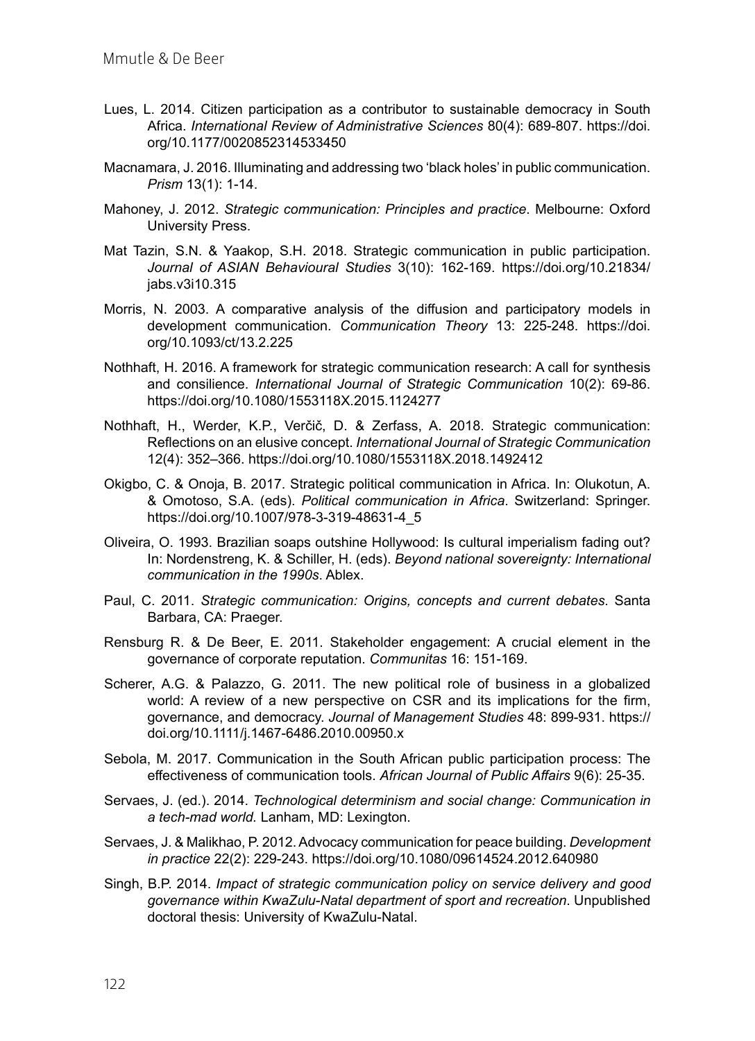- Lues, L. 2014. Citizen participation as a contributor to sustainable democracy in South Africa. *International Review of Administrative Sciences* 80(4): 689-807. [https://doi.](https://doi.org/10.1177/0020852314533450) [org/10.1177/0020852314533450](https://doi.org/10.1177/0020852314533450)
- Macnamara, J. 2016. Illuminating and addressing two 'black holes' in public communication. *Prism* 13(1): 1-14.
- Mahoney, J. 2012. *Strategic communication: Principles and practice*. Melbourne: Oxford University Press.
- Mat Tazin, S.N. & Yaakop, S.H. 2018. Strategic communication in public participation. *Journal of ASIAN Behavioural Studies* 3(10): 162-169. [https://doi.org/10.21834/](https://doi.org/10.21834/jabs.v3i10.315) [jabs.v3i10.315](https://doi.org/10.21834/jabs.v3i10.315)
- Morris, N. 2003. A comparative analysis of the diffusion and participatory models in development communication. *Communication Theory* 13: 225-248. [https://doi.](https://doi.org/10.1093/ct/13.2.225) [org/10.1093/ct/13.2.225](https://doi.org/10.1093/ct/13.2.225)
- Nothhaft, H. 2016. A framework for strategic communication research: A call for synthesis and consilience. *International Journal of Strategic Communication* 10(2): 69-86. <https://doi.org/10.1080/1553118X.2015.1124277>
- Nothhaft, H., Werder, K.P., Verčič, D. & Zerfass, A. 2018. Strategic communication: Reflections on an elusive concept. *International Journal of Strategic Communication* 12(4): 352–366.<https://doi.org/10.1080/1553118X.2018.1492412>
- Okigbo, C. & Onoja, B. 2017. Strategic political communication in Africa. In: Olukotun, A. & Omotoso, S.A. (eds). *Political communication in Africa*. Switzerland: Springer. [https://doi.org/10.1007/978-3-319-48631-4\\_5](https://doi.org/10.1007/978-3-319-48631-4_5)
- Oliveira, O. 1993. Brazilian soaps outshine Hollywood: Is cultural imperialism fading out? In: Nordenstreng, K. & Schiller, H. (eds). *Beyond national sovereignty: International communication in the 1990s*. Ablex.
- Paul, C. 2011. *Strategic communication: Origins, concepts and current debates*. Santa Barbara, CA: Praeger.
- Rensburg R. & De Beer, E. 2011. Stakeholder engagement: A crucial element in the governance of corporate reputation. *Communitas* 16: 151-169.
- Scherer, A.G. & Palazzo, G. 2011. The new political role of business in a globalized world: A review of a new perspective on CSR and its implications for the firm, governance, and democracy. *Journal of Management Studies* 48: 899-931. [https://](https://doi.org/10.1111/j.1467-6486.2010.00950.x) [doi.org/10.1111/j.1467-6486.2010.00950.x](https://doi.org/10.1111/j.1467-6486.2010.00950.x)
- Sebola, M. 2017. Communication in the South African public participation process: The effectiveness of communication tools. *African Journal of Public Affairs* 9(6): 25-35.
- Servaes, J. (ed.). 2014. *Technological determinism and social change: Communication in a tech-mad world.* Lanham, MD: Lexington.
- Servaes, J. & Malikhao, P. 2012. Advocacy communication for peace building. *Development in practice* 22(2): 229-243. <https://doi.org/10.1080/09614524.2012.640980>
- Singh, B.P. 2014. *Impact of strategic communication policy on service delivery and good governance within KwaZulu-Natal department of sport and recreation*. Unpublished doctoral thesis: University of KwaZulu-Natal.